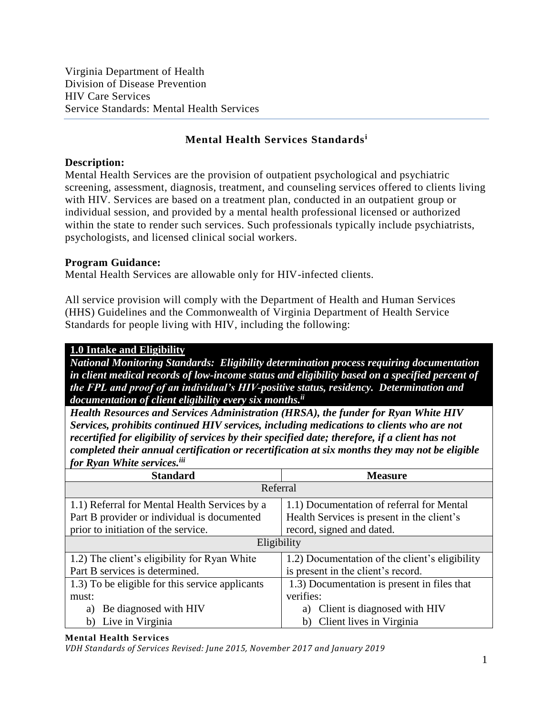Virginia Department of Health Division of Disease Prevention HIV Care Services Service Standards: Mental Health Services

## **Mental Health Services Standards<sup>i</sup>**

#### **Description:**

Mental Health Services are the provision of outpatient psychological and psychiatric screening, assessment, diagnosis, treatment, and counseling services offered to clients living with HIV. Services are based on a treatment plan, conducted in an outpatient group or individual session, and provided by a mental health professional licensed or authorized within the state to render such services. Such professionals typically include psychiatrists, psychologists, and licensed clinical social workers.

#### **Program Guidance:**

Mental Health Services are allowable only for HIV-infected clients.

All service provision will comply with the Department of Health and Human Services (HHS) Guidelines and the Commonwealth of Virginia Department of Health Service Standards for people living with HIV, including the following:

#### **1.0 Intake and Eligibility**

*National Monitoring Standards: Eligibility determination process requiring documentation in client medical records of low-income status and eligibility based on a specified percent of the FPL and proof of an individual's HIV-positive status, residency. Determination and documentation of client eligibility every six months. ii*

*Health Resources and Services Administration (HRSA), the funder for Ryan White HIV Services, prohibits continued HIV services, including medications to clients who are not recertified for eligibility of services by their specified date; therefore, if a client has not completed their annual certification or recertification at six months they may not be eligible for Ryan White services.iii*

| <b>Standard</b>                                 | <b>Measure</b>                                 |
|-------------------------------------------------|------------------------------------------------|
| Referral                                        |                                                |
| 1.1) Referral for Mental Health Services by a   | 1.1) Documentation of referral for Mental      |
| Part B provider or individual is documented     | Health Services is present in the client's     |
| prior to initiation of the service.             | record, signed and dated.                      |
| Eligibility                                     |                                                |
| 1.2) The client's eligibility for Ryan White    | 1.2) Documentation of the client's eligibility |
| Part B services is determined.                  | is present in the client's record.             |
| 1.3) To be eligible for this service applicants | 1.3) Documentation is present in files that    |
| must:                                           | verifies:                                      |
| Be diagnosed with HIV<br>a)                     | Client is diagnosed with HIV<br>a)             |
| Live in Virginia<br>b)                          | b) Client lives in Virginia                    |

#### **Mental Health Services**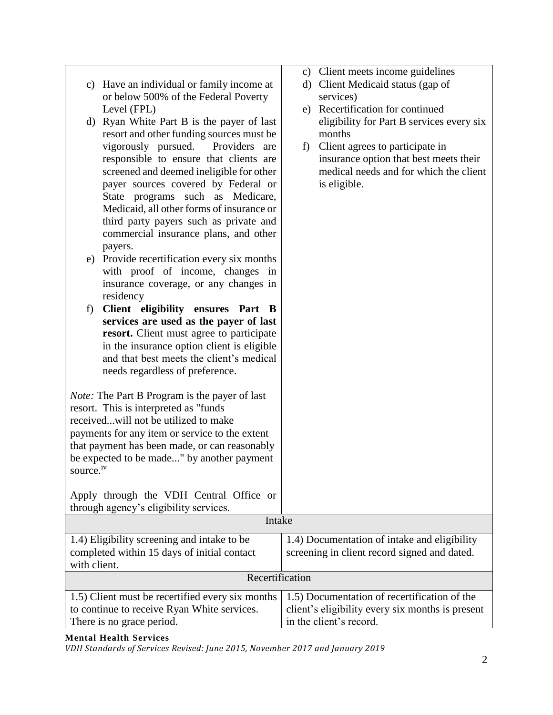| Have an individual or family income at<br>c)<br>or below 500% of the Federal Poverty | d) Client Medicaid status (gap of<br>services)   |
|--------------------------------------------------------------------------------------|--------------------------------------------------|
| Level (FPL)                                                                          | Recertification for continued<br>e)              |
| d) Ryan White Part B is the payer of last                                            | eligibility for Part B services every six        |
| resort and other funding sources must be                                             | months                                           |
| vigorously pursued.<br>Providers<br>are                                              | Client agrees to participate in<br>f)            |
| responsible to ensure that clients are                                               | insurance option that best meets their           |
| screened and deemed ineligible for other                                             | medical needs and for which the client           |
| payer sources covered by Federal or                                                  | is eligible.                                     |
| State programs such as Medicare,                                                     |                                                  |
| Medicaid, all other forms of insurance or                                            |                                                  |
| third party payers such as private and                                               |                                                  |
| commercial insurance plans, and other                                                |                                                  |
| payers.                                                                              |                                                  |
| Provide recertification every six months<br>e)                                       |                                                  |
| with proof of income, changes in                                                     |                                                  |
| insurance coverage, or any changes in                                                |                                                  |
| residency                                                                            |                                                  |
| Client eligibility ensures Part B<br>f)                                              |                                                  |
| services are used as the payer of last                                               |                                                  |
| resort. Client must agree to participate                                             |                                                  |
| in the insurance option client is eligible                                           |                                                  |
| and that best meets the client's medical                                             |                                                  |
| needs regardless of preference.                                                      |                                                  |
|                                                                                      |                                                  |
| <i>Note:</i> The Part B Program is the payer of last                                 |                                                  |
| resort. This is interpreted as "funds"                                               |                                                  |
| receivedwill not be utilized to make                                                 |                                                  |
| payments for any item or service to the extent                                       |                                                  |
| that payment has been made, or can reasonably                                        |                                                  |
| be expected to be made" by another payment                                           |                                                  |
| source. <sup>iv</sup>                                                                |                                                  |
|                                                                                      |                                                  |
| Apply through the VDH Central Office or                                              |                                                  |
| through agency's eligibility services.<br>Intake                                     |                                                  |
|                                                                                      |                                                  |
| 1.4) Eligibility screening and intake to be                                          | 1.4) Documentation of intake and eligibility     |
| completed within 15 days of initial contact                                          | screening in client record signed and dated.     |
| with client.                                                                         |                                                  |
| Recertification                                                                      |                                                  |
| 1.5) Client must be recertified every six months                                     | 1.5) Documentation of recertification of the     |
| to continue to receive Ryan White services.                                          | client's eligibility every six months is present |
| There is no grace period.                                                            | in the client's record.                          |

c) Client meets income guidelines

#### **Mental Health Services**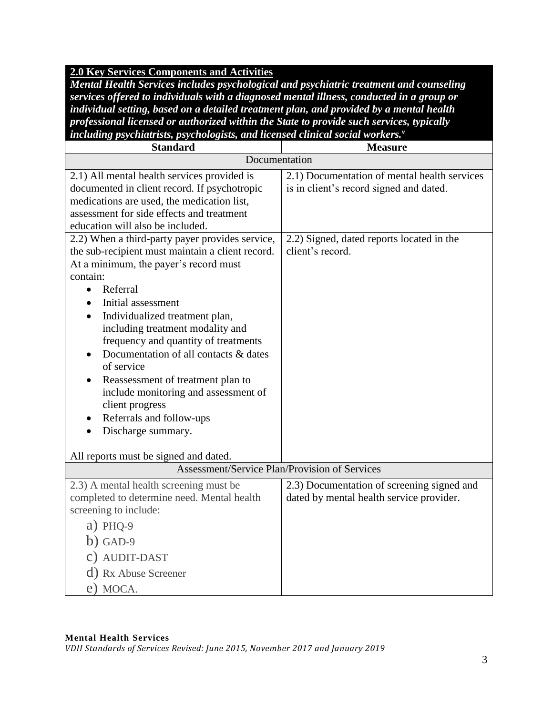## **2.0 Key Services Components and Activities**

*Mental Health Services includes psychological and psychiatric treatment and counseling services offered to individuals with a diagnosed mental illness, conducted in a group or individual setting, based on a detailed treatment plan, and provided by a mental health professional licensed or authorized within the State to provide such services, typically including psychiatrists, psychologists, and licensed clinical social workers.<sup>v</sup>*

| <b>Standard</b>                                                                                                                                                                                                                                                                                                                                                                                                                                                                                                                                                                                                                                                                                                                                                                                     | <b>Measure</b>                                                                                                                                           |
|-----------------------------------------------------------------------------------------------------------------------------------------------------------------------------------------------------------------------------------------------------------------------------------------------------------------------------------------------------------------------------------------------------------------------------------------------------------------------------------------------------------------------------------------------------------------------------------------------------------------------------------------------------------------------------------------------------------------------------------------------------------------------------------------------------|----------------------------------------------------------------------------------------------------------------------------------------------------------|
| Documentation                                                                                                                                                                                                                                                                                                                                                                                                                                                                                                                                                                                                                                                                                                                                                                                       |                                                                                                                                                          |
| 2.1) All mental health services provided is<br>documented in client record. If psychotropic<br>medications are used, the medication list,<br>assessment for side effects and treatment<br>education will also be included.<br>2.2) When a third-party payer provides service,<br>the sub-recipient must maintain a client record.<br>At a minimum, the payer's record must<br>contain:<br>Referral<br>$\bullet$<br>Initial assessment<br>$\bullet$<br>Individualized treatment plan,<br>including treatment modality and<br>frequency and quantity of treatments<br>Documentation of all contacts & dates<br>of service<br>Reassessment of treatment plan to<br>include monitoring and assessment of<br>client progress<br>Referrals and follow-ups<br>$\bullet$<br>Discharge summary.<br>$\bullet$ | 2.1) Documentation of mental health services<br>is in client's record signed and dated.<br>2.2) Signed, dated reports located in the<br>client's record. |
| All reports must be signed and dated.                                                                                                                                                                                                                                                                                                                                                                                                                                                                                                                                                                                                                                                                                                                                                               |                                                                                                                                                          |
| Assessment/Service Plan/Provision of Services                                                                                                                                                                                                                                                                                                                                                                                                                                                                                                                                                                                                                                                                                                                                                       |                                                                                                                                                          |
| 2.3) A mental health screening must be<br>completed to determine need. Mental health<br>screening to include:<br>$a)$ PHQ-9<br>$b)$ GAD-9<br>c) AUDIT-DAST<br>d) Rx Abuse Screener<br>e) MOCA.                                                                                                                                                                                                                                                                                                                                                                                                                                                                                                                                                                                                      | 2.3) Documentation of screening signed and<br>dated by mental health service provider.                                                                   |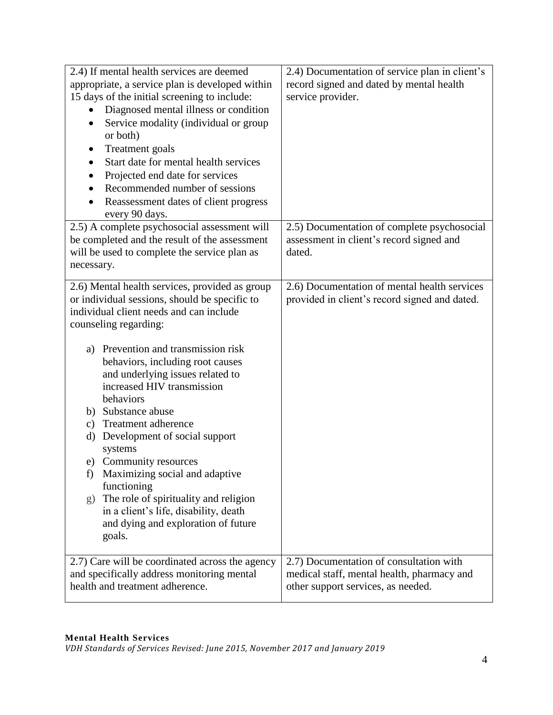| 2.4) If mental health services are deemed<br>appropriate, a service plan is developed within<br>15 days of the initial screening to include:<br>Diagnosed mental illness or condition<br>Service modality (individual or group<br>٠<br>or both)<br><b>Treatment</b> goals<br>$\bullet$<br>Start date for mental health services<br>Projected end date for services<br>Recommended number of sessions<br>Reassessment dates of client progress<br>every 90 days.                                                                                                                                                                                                       | 2.4) Documentation of service plan in client's<br>record signed and dated by mental health<br>service provider.             |
|-----------------------------------------------------------------------------------------------------------------------------------------------------------------------------------------------------------------------------------------------------------------------------------------------------------------------------------------------------------------------------------------------------------------------------------------------------------------------------------------------------------------------------------------------------------------------------------------------------------------------------------------------------------------------|-----------------------------------------------------------------------------------------------------------------------------|
| 2.5) A complete psychosocial assessment will<br>be completed and the result of the assessment<br>will be used to complete the service plan as<br>necessary.                                                                                                                                                                                                                                                                                                                                                                                                                                                                                                           | 2.5) Documentation of complete psychosocial<br>assessment in client's record signed and<br>dated.                           |
| 2.6) Mental health services, provided as group<br>or individual sessions, should be specific to<br>individual client needs and can include<br>counseling regarding:<br>Prevention and transmission risk<br>a)<br>behaviors, including root causes<br>and underlying issues related to<br>increased HIV transmission<br>behaviors<br>Substance abuse<br>b)<br>Treatment adherence<br>c)<br>Development of social support<br>d)<br>systems<br>Community resources<br>e)<br>Maximizing social and adaptive<br>f)<br>functioning<br>The role of spirituality and religion<br>g)<br>in a client's life, disability, death<br>and dying and exploration of future<br>goals. | 2.6) Documentation of mental health services<br>provided in client's record signed and dated.                               |
| 2.7) Care will be coordinated across the agency<br>and specifically address monitoring mental<br>health and treatment adherence.                                                                                                                                                                                                                                                                                                                                                                                                                                                                                                                                      | 2.7) Documentation of consultation with<br>medical staff, mental health, pharmacy and<br>other support services, as needed. |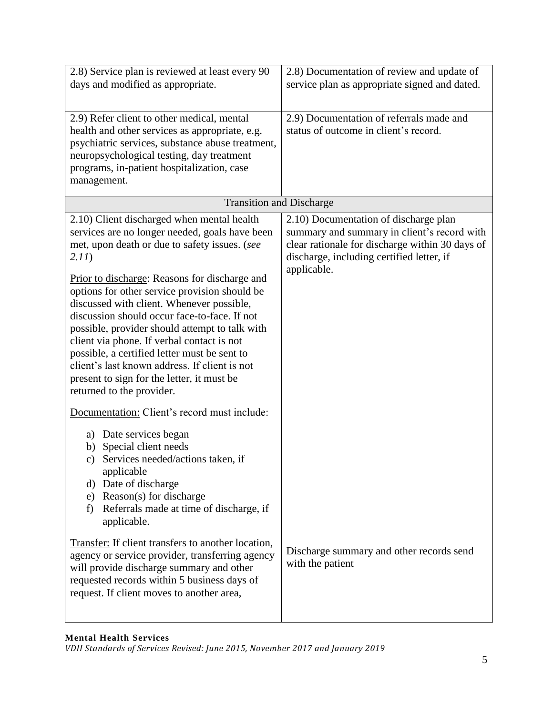| 2.8) Service plan is reviewed at least every 90<br>days and modified as appropriate.                                                                                                                                                                                                                                                                                                                                                                                    | 2.8) Documentation of review and update of<br>service plan as appropriate signed and dated.                                                                                                         |
|-------------------------------------------------------------------------------------------------------------------------------------------------------------------------------------------------------------------------------------------------------------------------------------------------------------------------------------------------------------------------------------------------------------------------------------------------------------------------|-----------------------------------------------------------------------------------------------------------------------------------------------------------------------------------------------------|
| 2.9) Refer client to other medical, mental<br>health and other services as appropriate, e.g.<br>psychiatric services, substance abuse treatment,<br>neuropsychological testing, day treatment<br>programs, in-patient hospitalization, case<br>management.                                                                                                                                                                                                              | 2.9) Documentation of referrals made and<br>status of outcome in client's record.                                                                                                                   |
| <b>Transition and Discharge</b>                                                                                                                                                                                                                                                                                                                                                                                                                                         |                                                                                                                                                                                                     |
| 2.10) Client discharged when mental health<br>services are no longer needed, goals have been<br>met, upon death or due to safety issues. (see<br>2.11)                                                                                                                                                                                                                                                                                                                  | 2.10) Documentation of discharge plan<br>summary and summary in client's record with<br>clear rationale for discharge within 30 days of<br>discharge, including certified letter, if<br>applicable. |
| Prior to discharge: Reasons for discharge and<br>options for other service provision should be<br>discussed with client. Whenever possible,<br>discussion should occur face-to-face. If not<br>possible, provider should attempt to talk with<br>client via phone. If verbal contact is not<br>possible, a certified letter must be sent to<br>client's last known address. If client is not<br>present to sign for the letter, it must be<br>returned to the provider. |                                                                                                                                                                                                     |
| Documentation: Client's record must include:<br>a) Date services began<br>Special client needs<br>b)<br>Services needed/actions taken, if<br>$\mathbf{c})$<br>applicable<br>d) Date of discharge<br>e) Reason(s) for discharge<br>Referrals made at time of discharge, if<br>f)<br>applicable.                                                                                                                                                                          |                                                                                                                                                                                                     |
| Transfer: If client transfers to another location,<br>agency or service provider, transferring agency<br>will provide discharge summary and other<br>requested records within 5 business days of<br>request. If client moves to another area,                                                                                                                                                                                                                           | Discharge summary and other records send<br>with the patient                                                                                                                                        |

### **Mental Health Services**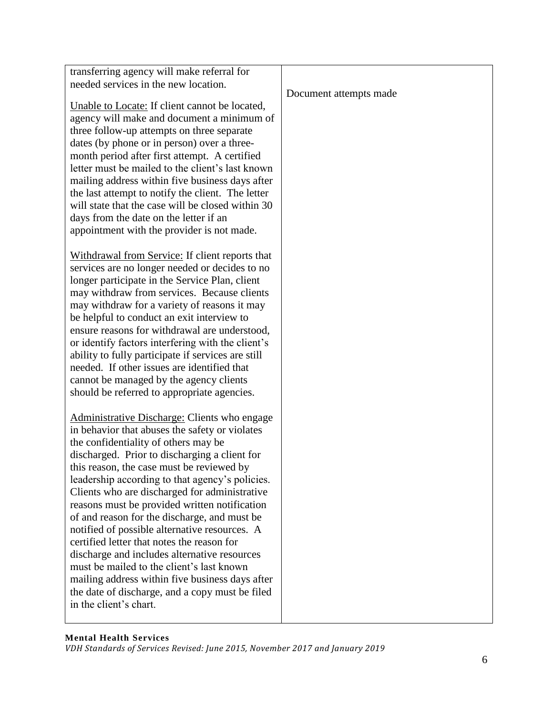| transferring agency will make referral for                                                              |                        |
|---------------------------------------------------------------------------------------------------------|------------------------|
| needed services in the new location.                                                                    |                        |
|                                                                                                         | Document attempts made |
| Unable to Locate: If client cannot be located,                                                          |                        |
| agency will make and document a minimum of                                                              |                        |
| three follow-up attempts on three separate                                                              |                        |
| dates (by phone or in person) over a three-                                                             |                        |
| month period after first attempt. A certified                                                           |                        |
| letter must be mailed to the client's last known                                                        |                        |
| mailing address within five business days after                                                         |                        |
| the last attempt to notify the client. The letter                                                       |                        |
| will state that the case will be closed within 30                                                       |                        |
| days from the date on the letter if an                                                                  |                        |
| appointment with the provider is not made.                                                              |                        |
|                                                                                                         |                        |
| Withdrawal from Service: If client reports that                                                         |                        |
| services are no longer needed or decides to no                                                          |                        |
| longer participate in the Service Plan, client                                                          |                        |
| may withdraw from services. Because clients                                                             |                        |
| may withdraw for a variety of reasons it may                                                            |                        |
| be helpful to conduct an exit interview to                                                              |                        |
| ensure reasons for withdrawal are understood,                                                           |                        |
| or identify factors interfering with the client's<br>ability to fully participate if services are still |                        |
| needed. If other issues are identified that                                                             |                        |
| cannot be managed by the agency clients                                                                 |                        |
| should be referred to appropriate agencies.                                                             |                        |
|                                                                                                         |                        |
| Administrative Discharge: Clients who engage                                                            |                        |
| in behavior that abuses the safety or violates                                                          |                        |
| the confidentiality of others may be                                                                    |                        |
| discharged. Prior to discharging a client for                                                           |                        |
| this reason, the case must be reviewed by                                                               |                        |
| leadership according to that agency's policies.                                                         |                        |
| Clients who are discharged for administrative                                                           |                        |
| reasons must be provided written notification                                                           |                        |
| of and reason for the discharge, and must be                                                            |                        |
| notified of possible alternative resources. A                                                           |                        |
| certified letter that notes the reason for                                                              |                        |
| discharge and includes alternative resources                                                            |                        |
| must be mailed to the client's last known                                                               |                        |
| mailing address within five business days after                                                         |                        |
| the date of discharge, and a copy must be filed                                                         |                        |
| in the client's chart.                                                                                  |                        |
|                                                                                                         |                        |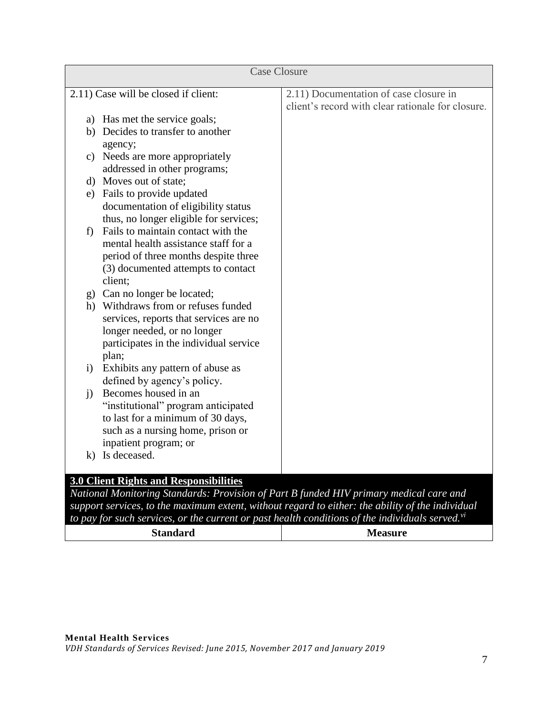|              | <b>Case Closure</b>                           |                                                                                             |
|--------------|-----------------------------------------------|---------------------------------------------------------------------------------------------|
|              | 2.11) Case will be closed if client:          | 2.11) Documentation of case closure in<br>client's record with clear rationale for closure. |
|              | a) Has met the service goals;                 |                                                                                             |
|              | b) Decides to transfer to another             |                                                                                             |
|              | agency;                                       |                                                                                             |
|              | c) Needs are more appropriately               |                                                                                             |
|              | addressed in other programs;                  |                                                                                             |
|              | d) Moves out of state;                        |                                                                                             |
|              | e) Fails to provide updated                   |                                                                                             |
|              | documentation of eligibility status           |                                                                                             |
|              | thus, no longer eligible for services;        |                                                                                             |
| f            | Fails to maintain contact with the            |                                                                                             |
|              | mental health assistance staff for a          |                                                                                             |
|              | period of three months despite three          |                                                                                             |
|              | (3) documented attempts to contact            |                                                                                             |
|              | client;                                       |                                                                                             |
|              | g) Can no longer be located;                  |                                                                                             |
|              | h) Withdraws from or refuses funded           |                                                                                             |
|              | services, reports that services are no        |                                                                                             |
|              | longer needed, or no longer                   |                                                                                             |
|              | participates in the individual service        |                                                                                             |
|              | plan;                                         |                                                                                             |
| $\ddot{1}$   | Exhibits any pattern of abuse as              |                                                                                             |
|              | defined by agency's policy.                   |                                                                                             |
| $\mathbf{i}$ | Becomes housed in an                          |                                                                                             |
|              | "institutional" program anticipated           |                                                                                             |
|              | to last for a minimum of 30 days,             |                                                                                             |
|              | such as a nursing home, prison or             |                                                                                             |
|              | inpatient program; or                         |                                                                                             |
| k)           | Is deceased.                                  |                                                                                             |
|              |                                               |                                                                                             |
|              | <b>3.0 Client Rights and Responsibilities</b> |                                                                                             |
|              |                                               | National Monitoring Standards: Provision of Part B funded HIV primary medical care and      |

*support services, to the maximum extent, without regard to either: the ability of the individual* 

*to pay for such services, or the current or past health conditions of the individuals served.vi* **Standard Measure**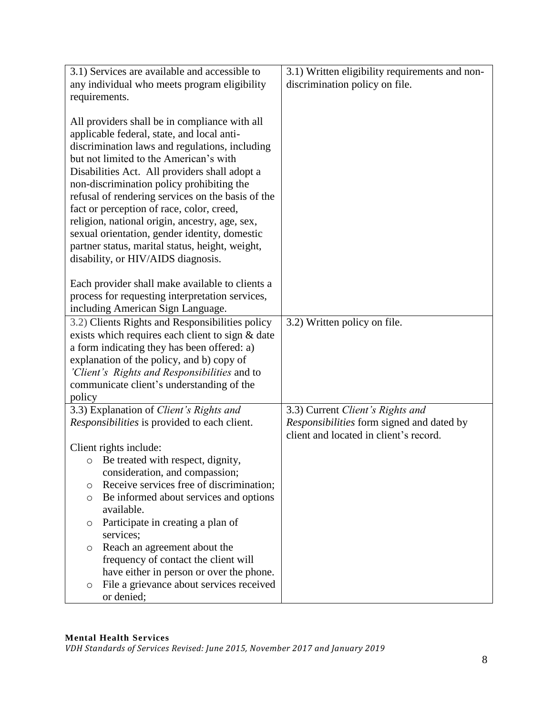|         | 3.1) Services are available and accessible to       | 3.1) Written eligibility requirements and non-   |
|---------|-----------------------------------------------------|--------------------------------------------------|
|         | any individual who meets program eligibility        | discrimination policy on file.                   |
|         | requirements.                                       |                                                  |
|         |                                                     |                                                  |
|         | All providers shall be in compliance with all       |                                                  |
|         | applicable federal, state, and local anti-          |                                                  |
|         | discrimination laws and regulations, including      |                                                  |
|         | but not limited to the American's with              |                                                  |
|         | Disabilities Act. All providers shall adopt a       |                                                  |
|         | non-discrimination policy prohibiting the           |                                                  |
|         | refusal of rendering services on the basis of the   |                                                  |
|         | fact or perception of race, color, creed,           |                                                  |
|         | religion, national origin, ancestry, age, sex,      |                                                  |
|         | sexual orientation, gender identity, domestic       |                                                  |
|         | partner status, marital status, height, weight,     |                                                  |
|         | disability, or HIV/AIDS diagnosis.                  |                                                  |
|         |                                                     |                                                  |
|         | Each provider shall make available to clients a     |                                                  |
|         | process for requesting interpretation services,     |                                                  |
|         | including American Sign Language.                   |                                                  |
|         | 3.2) Clients Rights and Responsibilities policy     | 3.2) Written policy on file.                     |
|         | exists which requires each client to sign & date    |                                                  |
|         | a form indicating they has been offered: a)         |                                                  |
|         | explanation of the policy, and b) copy of           |                                                  |
|         | 'Client's Rights and Responsibilities and to        |                                                  |
|         | communicate client's understanding of the           |                                                  |
| policy  |                                                     |                                                  |
|         | 3.3) Explanation of Client's Rights and             | 3.3) Current Client's Rights and                 |
|         | <i>Responsibilities</i> is provided to each client. | <i>Responsibilities</i> form signed and dated by |
|         |                                                     | client and located in client's record.           |
|         | Client rights include:                              |                                                  |
| $\circ$ | Be treated with respect, dignity,                   |                                                  |
|         | consideration, and compassion;                      |                                                  |
| O       | Receive services free of discrimination;            |                                                  |
| O       | Be informed about services and options              |                                                  |
|         | available.                                          |                                                  |
| O       | Participate in creating a plan of                   |                                                  |
|         | services;                                           |                                                  |
| O       | Reach an agreement about the                        |                                                  |
|         | frequency of contact the client will                |                                                  |
|         | have either in person or over the phone.            |                                                  |
| O       | File a grievance about services received            |                                                  |
|         | or denied;                                          |                                                  |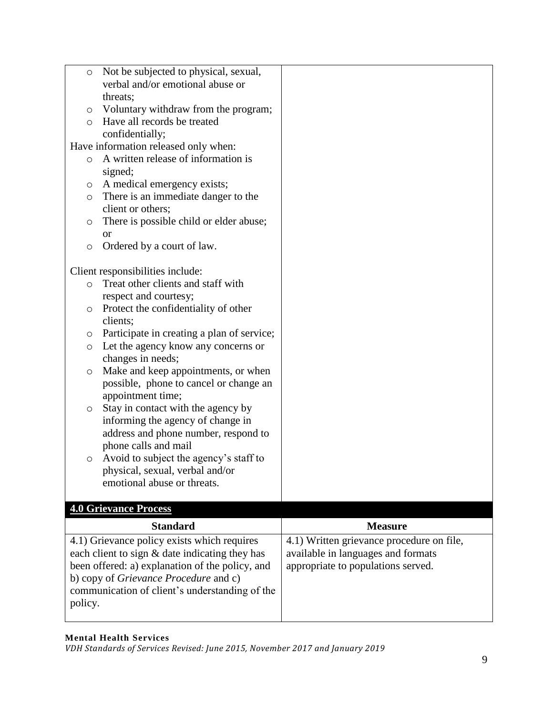| O       | Not be subjected to physical, sexual,           |                                           |
|---------|-------------------------------------------------|-------------------------------------------|
|         | verbal and/or emotional abuse or                |                                           |
|         | threats;                                        |                                           |
| O       | Voluntary withdraw from the program;            |                                           |
| $\circ$ | Have all records be treated                     |                                           |
|         | confidentially;                                 |                                           |
|         | Have information released only when:            |                                           |
| $\circ$ | A written release of information is             |                                           |
|         | signed;                                         |                                           |
| O       | A medical emergency exists;                     |                                           |
| O       | There is an immediate danger to the             |                                           |
|         | client or others;                               |                                           |
|         |                                                 |                                           |
| O       | There is possible child or elder abuse;         |                                           |
|         | <b>or</b>                                       |                                           |
| $\circ$ | Ordered by a court of law.                      |                                           |
|         |                                                 |                                           |
|         | Client responsibilities include:                |                                           |
| $\circ$ | Treat other clients and staff with              |                                           |
|         | respect and courtesy;                           |                                           |
| $\circ$ | Protect the confidentiality of other            |                                           |
|         | clients;                                        |                                           |
| O       | Participate in creating a plan of service;      |                                           |
| $\circ$ | Let the agency know any concerns or             |                                           |
|         | changes in needs;                               |                                           |
| O       | Make and keep appointments, or when             |                                           |
|         | possible, phone to cancel or change an          |                                           |
|         | appointment time;                               |                                           |
| O       | Stay in contact with the agency by              |                                           |
|         | informing the agency of change in               |                                           |
|         | address and phone number, respond to            |                                           |
|         | phone calls and mail                            |                                           |
| O       | Avoid to subject the agency's staff to          |                                           |
|         | physical, sexual, verbal and/or                 |                                           |
|         | emotional abuse or threats.                     |                                           |
|         |                                                 |                                           |
|         | <b>4.0 Grievance Process</b>                    |                                           |
|         | <b>Standard</b>                                 | <b>Measure</b>                            |
|         | 4.1) Grievance policy exists which requires     | 4.1) Written grievance procedure on file, |
|         | each client to sign & date indicating they has  | available in languages and formats        |
|         | been offered: a) explanation of the policy, and | appropriate to populations served.        |
|         | b) copy of Grievance Procedure and c)           |                                           |
|         |                                                 |                                           |
|         | communication of client's understanding of the  |                                           |
|         |                                                 |                                           |
| policy. |                                                 |                                           |

## **Mental Health Services**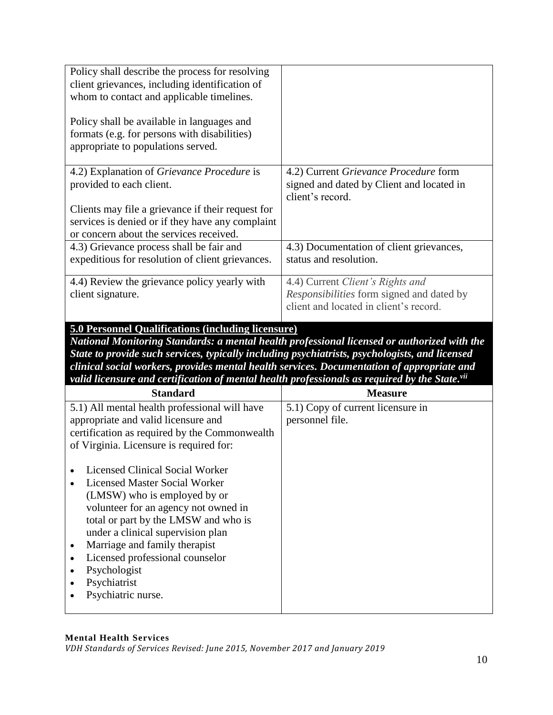| Policy shall describe the process for resolving<br>client grievances, including identification of<br>whom to contact and applicable timelines.   |                                                                                                                         |
|--------------------------------------------------------------------------------------------------------------------------------------------------|-------------------------------------------------------------------------------------------------------------------------|
| Policy shall be available in languages and<br>formats (e.g. for persons with disabilities)<br>appropriate to populations served.                 |                                                                                                                         |
| 4.2) Explanation of <i>Grievance Procedure</i> is<br>provided to each client.                                                                    | 4.2) Current Grievance Procedure form<br>signed and dated by Client and located in<br>client's record.                  |
| Clients may file a grievance if their request for<br>services is denied or if they have any complaint<br>or concern about the services received. |                                                                                                                         |
| 4.3) Grievance process shall be fair and<br>expeditious for resolution of client grievances.                                                     | 4.3) Documentation of client grievances,<br>status and resolution.                                                      |
| 4.4) Review the grievance policy yearly with<br>client signature.                                                                                | 4.4) Current Client's Rights and<br>Responsibilities form signed and dated by<br>client and located in client's record. |

# **5.0 Personnel Qualifications (including licensure)**

*National Monitoring Standards: a mental health professional licensed or authorized with the State to provide such services, typically including psychiatrists, psychologists, and licensed clinical social workers, provides mental health services. Documentation of appropriate and valid licensure and certification of mental health professionals as required by the State. vii*

| <b>Standard</b>                               | <b>Measure</b>                    |
|-----------------------------------------------|-----------------------------------|
| 5.1) All mental health professional will have | 5.1) Copy of current licensure in |
| appropriate and valid licensure and           | personnel file.                   |
| certification as required by the Commonwealth |                                   |
| of Virginia. Licensure is required for:       |                                   |
|                                               |                                   |
| Licensed Clinical Social Worker               |                                   |
| Licensed Master Social Worker                 |                                   |
| (LMSW) who is employed by or                  |                                   |
| volunteer for an agency not owned in          |                                   |
| total or part by the LMSW and who is          |                                   |
| under a clinical supervision plan             |                                   |
| Marriage and family therapist                 |                                   |
| Licensed professional counselor               |                                   |
| Psychologist                                  |                                   |
| Psychiatrist                                  |                                   |
| Psychiatric nurse.                            |                                   |
|                                               |                                   |

#### **Mental Health Services**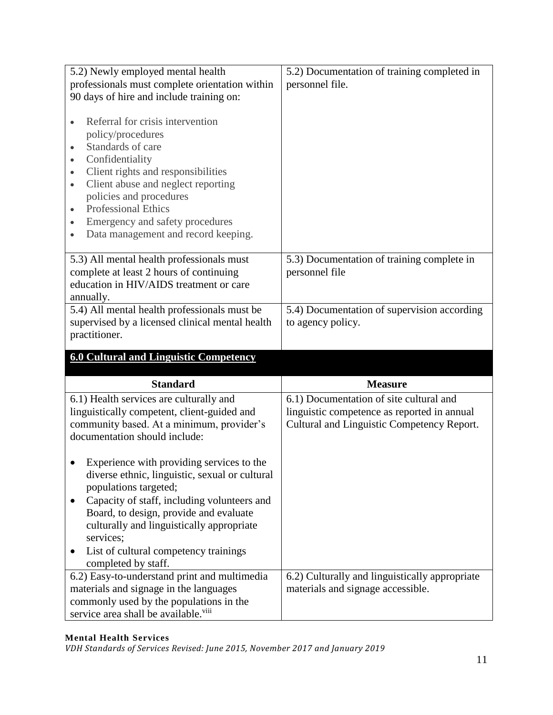| 5.2) Newly employed mental health                                                                                                                                                                                                                                                                                                                                                  | 5.2) Documentation of training completed in    |
|------------------------------------------------------------------------------------------------------------------------------------------------------------------------------------------------------------------------------------------------------------------------------------------------------------------------------------------------------------------------------------|------------------------------------------------|
| professionals must complete orientation within                                                                                                                                                                                                                                                                                                                                     | personnel file.                                |
| 90 days of hire and include training on:                                                                                                                                                                                                                                                                                                                                           |                                                |
| Referral for crisis intervention<br>policy/procedures<br>Standards of care<br>$\bullet$<br>Confidentiality<br>$\bullet$<br>Client rights and responsibilities<br>$\bullet$<br>Client abuse and neglect reporting<br>$\bullet$<br>policies and procedures<br><b>Professional Ethics</b><br>$\bullet$<br>Emergency and safety procedures<br>٠<br>Data management and record keeping. |                                                |
| 5.3) All mental health professionals must                                                                                                                                                                                                                                                                                                                                          | 5.3) Documentation of training complete in     |
| complete at least 2 hours of continuing                                                                                                                                                                                                                                                                                                                                            | personnel file                                 |
| education in HIV/AIDS treatment or care                                                                                                                                                                                                                                                                                                                                            |                                                |
| annually.<br>5.4) All mental health professionals must be                                                                                                                                                                                                                                                                                                                          | 5.4) Documentation of supervision according    |
| supervised by a licensed clinical mental health                                                                                                                                                                                                                                                                                                                                    | to agency policy.                              |
| practitioner.                                                                                                                                                                                                                                                                                                                                                                      |                                                |
|                                                                                                                                                                                                                                                                                                                                                                                    |                                                |
|                                                                                                                                                                                                                                                                                                                                                                                    |                                                |
| <b>6.0 Cultural and Linguistic Competency</b>                                                                                                                                                                                                                                                                                                                                      |                                                |
|                                                                                                                                                                                                                                                                                                                                                                                    |                                                |
| <b>Standard</b>                                                                                                                                                                                                                                                                                                                                                                    | <b>Measure</b>                                 |
| 6.1) Health services are culturally and                                                                                                                                                                                                                                                                                                                                            | 6.1) Documentation of site cultural and        |
| linguistically competent, client-guided and                                                                                                                                                                                                                                                                                                                                        | linguistic competence as reported in annual    |
| community based. At a minimum, provider's                                                                                                                                                                                                                                                                                                                                          | Cultural and Linguistic Competency Report.     |
| documentation should include:                                                                                                                                                                                                                                                                                                                                                      |                                                |
|                                                                                                                                                                                                                                                                                                                                                                                    |                                                |
| Experience with providing services to the                                                                                                                                                                                                                                                                                                                                          |                                                |
| diverse ethnic, linguistic, sexual or cultural<br>populations targeted;                                                                                                                                                                                                                                                                                                            |                                                |
| Capacity of staff, including volunteers and                                                                                                                                                                                                                                                                                                                                        |                                                |
| Board, to design, provide and evaluate                                                                                                                                                                                                                                                                                                                                             |                                                |
| culturally and linguistically appropriate                                                                                                                                                                                                                                                                                                                                          |                                                |
| services;                                                                                                                                                                                                                                                                                                                                                                          |                                                |
| List of cultural competency trainings                                                                                                                                                                                                                                                                                                                                              |                                                |
| completed by staff.                                                                                                                                                                                                                                                                                                                                                                |                                                |
| 6.2) Easy-to-understand print and multimedia                                                                                                                                                                                                                                                                                                                                       | 6.2) Culturally and linguistically appropriate |
| materials and signage in the languages<br>commonly used by the populations in the                                                                                                                                                                                                                                                                                                  | materials and signage accessible.              |

## **Mental Health Services**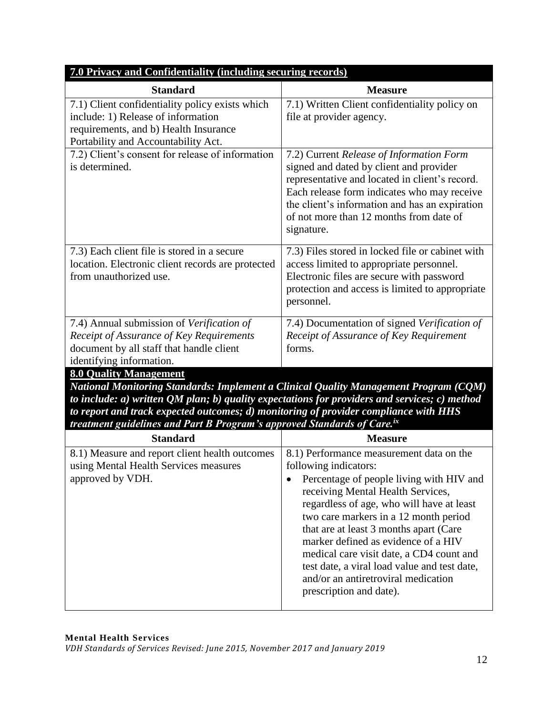| 7.0 Privacy and Confidentiality (including securing records)                                                                                                                                                                                                                                                                                                                                                   |                                                                                                                                                                                                                                                                                                                                                                                                                                                                                         |  |
|----------------------------------------------------------------------------------------------------------------------------------------------------------------------------------------------------------------------------------------------------------------------------------------------------------------------------------------------------------------------------------------------------------------|-----------------------------------------------------------------------------------------------------------------------------------------------------------------------------------------------------------------------------------------------------------------------------------------------------------------------------------------------------------------------------------------------------------------------------------------------------------------------------------------|--|
| <b>Standard</b>                                                                                                                                                                                                                                                                                                                                                                                                | <b>Measure</b>                                                                                                                                                                                                                                                                                                                                                                                                                                                                          |  |
| 7.1) Client confidentiality policy exists which<br>include: 1) Release of information<br>requirements, and b) Health Insurance<br>Portability and Accountability Act.                                                                                                                                                                                                                                          | 7.1) Written Client confidentiality policy on<br>file at provider agency.                                                                                                                                                                                                                                                                                                                                                                                                               |  |
| 7.2) Client's consent for release of information<br>is determined.                                                                                                                                                                                                                                                                                                                                             | 7.2) Current Release of Information Form<br>signed and dated by client and provider<br>representative and located in client's record.<br>Each release form indicates who may receive<br>the client's information and has an expiration<br>of not more than 12 months from date of<br>signature.                                                                                                                                                                                         |  |
| 7.3) Each client file is stored in a secure<br>location. Electronic client records are protected<br>from unauthorized use.                                                                                                                                                                                                                                                                                     | 7.3) Files stored in locked file or cabinet with<br>access limited to appropriate personnel.<br>Electronic files are secure with password<br>protection and access is limited to appropriate<br>personnel.                                                                                                                                                                                                                                                                              |  |
| 7.4) Annual submission of Verification of<br>Receipt of Assurance of Key Requirements<br>document by all staff that handle client<br>identifying information.                                                                                                                                                                                                                                                  | 7.4) Documentation of signed Verification of<br>Receipt of Assurance of Key Requirement<br>forms.                                                                                                                                                                                                                                                                                                                                                                                       |  |
| <b>8.0 Quality Management</b><br>National Monitoring Standards: Implement a Clinical Quality Management Program (CQM)<br>to include: $a$ ) written QM plan; $b$ ) quality expectations for providers and services; $c$ ) method<br>to report and track expected outcomes; d) monitoring of provider compliance with HHS<br>treatment guidelines and Part B Program's approved Standards of Care. <sup>ix</sup> |                                                                                                                                                                                                                                                                                                                                                                                                                                                                                         |  |
| <b>Standard</b>                                                                                                                                                                                                                                                                                                                                                                                                | <b>Measure</b>                                                                                                                                                                                                                                                                                                                                                                                                                                                                          |  |
| 8.1) Measure and report client health outcomes<br>using Mental Health Services measures<br>approved by VDH.                                                                                                                                                                                                                                                                                                    | 8.1) Performance measurement data on the<br>following indicators:<br>Percentage of people living with HIV and<br>receiving Mental Health Services,<br>regardless of age, who will have at least<br>two care markers in a 12 month period<br>that are at least 3 months apart (Care<br>marker defined as evidence of a HIV<br>medical care visit date, a CD4 count and<br>test date, a viral load value and test date,<br>and/or an antiretroviral medication<br>prescription and date). |  |